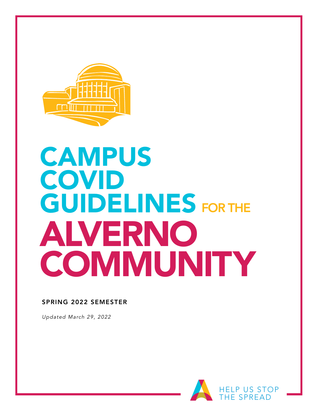

# **CAMPUS** COVID GUIDELINES FOR THE ALVERNO **COMMUNITY**

#### SPRING 2022 SEMESTER

*Updated March 29, 2022*

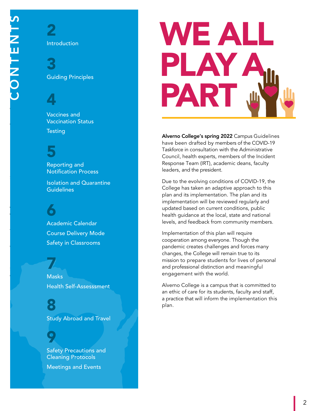Introduction

2

3 Guiding Principles

4

Course Contingency Vaccines and Vaccination Status **Testing** 

5

Reporting and Notification Process

Isolation and Quarantine **Guidelines** 

6 Academic Calendar Course Delivery Mode Safety in Classrooms

Safety Precautions and Cleaning Protocals 7 **Masks** Health Self-Assesssment

> 8 Study Abroad and Travel

9 Safety Precautions and Cleaning Protocols Meetings and Events



Alverno College's spring 2022 Campus Guidelines have been drafted by members of the COVID-19 Taskforce in consultation with the Administrative Council, health experts, members of the Incident Response Team (IRT), academic deans, faculty leaders, and the president.

Due to the evolving conditions of COVID-19, the College has taken an adaptive approach to this plan and its implementation. The plan and its implementation will be reviewed regularly and updated based on current conditions, public health guidance at the local, state and national levels, and feedback from community members.

Implementation of this plan will require cooperation among everyone. Though the pandemic creates challenges and forces many changes, the College will remain true to its mission to prepare students for lives of personal and professional distinction and meaningful engagement with the world.

Alverno College is a campus that is committed to an ethic of care for its students, faculty and staff, a practice that will inform the implementation this plan.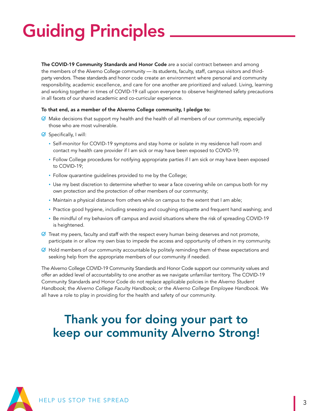# Guiding Principles

The COVID-19 Community Standards and Honor Code are a social contract between and among the members of the Alverno College community — its students, faculty, staff, campus visitors and thirdparty vendors. These standards and honor code create an environment where personal and community responsibility, academic excellence, and care for one another are prioritized and valued. Living, learning and working together in times of COVID-19 call upon everyone to observe heightened safety precautions in all facets of our shared academic and co-curricular experience.

#### To that end, as a member of the Alverno College community, I pledge to:

- $\oslash$  Make decisions that support my health and the health of all members of our community, especially those who are most vulnerable.
- $\oslash$  Specifically, I will:
	- Self-monitor for COVID-19 symptoms and stay home or isolate in my residence hall room and contact my health care provider if I am sick or may have been exposed to COVID-19;
	- Follow College procedures for notifying appropriate parties if I am sick or may have been exposed to COVID-19;
	- Follow quarantine guidelines provided to me by the College;
	- Use my best discretion to determine whether to wear a face covering while on campus both for my own protection and the protection of other members of our community;
	- Maintain a physical distance from others while on campus to the extent that I am able;
	- Practice good hygiene, including sneezing and coughing etiquette and frequent hand washing; and
	- Be mindful of my behaviors off campus and avoid situations where the risk of spreading COVID-19 is heightened.
- $\oslash$  Treat my peers, faculty and staff with the respect every human being deserves and not promote, participate in or allow my own bias to impede the access and opportunity of others in my community.
- $\Theta$  Hold members of our community accountable by politely reminding them of these expectations and seeking help from the appropriate members of our community if needed.

The Alverno College COVID-19 Community Standards and Honor Code support our community values and offer an added level of accountability to one another as we navigate unfamiliar territory. The COVID-19 Community Standards and Honor Code do not replace applicable policies in the *Alverno Student Handbook*; the *Alverno College Faculty Handbook*; or the *Alverno College Employee Handbook*. We all have a role to play in providing for the health and safety of our community.

## Thank you for doing your part to keep our community Alverno Strong!

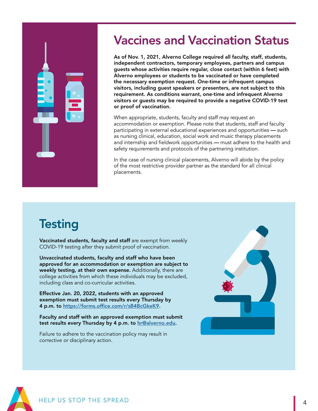# Vaccines and Vaccination Status

As of Nov. 1, 2021, Alverno College required all faculty, staff, students, independent contractors, temporary employees, partners and campus guests whose activities require regular, close contact (within 6 feet) with Alverno employees or students to be vaccinated or have completed the necessary exemption request. One-time or infrequent campus visitors, including guest speakers or presenters, are not subject to this requirement. As conditions warrant, one-time and infrequent Alverno visitors or guests may be required to provide a negative COVID-19 test or proof of vaccination.

When appropriate, students, faculty and staff may request an accommodation or exemption. Please note that students, staff and faculty participating in external educational experiences and opportunities — such as nursing clinical, education, social work and music therapy placements and internship and fieldwork opportunities — must adhere to the health and safety requirements and protocols of the partnering institution.

In the case of nursing clinical placements, Alverno will abide by the policy of the most restrictive provider partner as the standard for all clinical placements.

# **Testing**

Vaccinated students, faculty and staff are exempt from weekly COVID-19 testing after they submit proof of vaccination.

Unvaccinated students, faculty and staff who have been approved for an accommodation or exemption are subject to weekly testing, at their own expense. Additionally, there are college activities from which these individuals may be excluded, including class and co-curricular activities.

Effective Jan. 20, 2022, students with an approved exemption must submit test results every Thursday by 4 p.m. to <https://forms.office.com/r/sB4BcGkeK9>.

Faculty and staff with an approved exemption must submit test results every Thursday by 4 p.m. to [hr@alverno.edu.](mailto:hr%40alverno.edu?subject=)

Failure to adhere to the vaccination policy may result in corrective or disciplinary action.



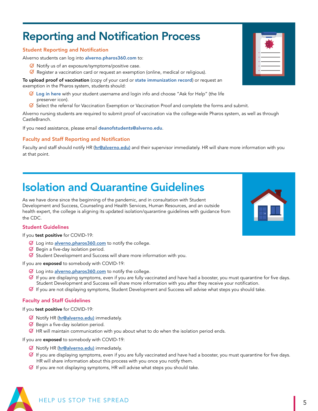### Reporting and Notification Process

#### Student Reporting and Notification

Alverno students can log into [alverno.pharos360.com](https://alverno.pharos360.com/login.php?service=/index.php?) to:

- $\Theta$  Notify us of an exposure/symptoms/positive case.
- $\heartsuit$  Register a vaccination card or request an exemption (online, medical or religious).

To upload proof of vaccination (copy of your card or [state immunization record](https://www.dhs.wisconsin.gov/immunization/wir.htm)) or request an exemption in the Pharos system, students should:

- $\mathcal G$  [Log in here](https://alverno.pharos360.com/login.php?service=/index.php?) with your student username and login info and choose "Ask for Help" (the life preserver icon).
- $\heartsuit$  Select the referral for Vaccination Exemption or Vaccination Proof and complete the forms and submit.

Alverno nursing students are required to submit proof of vaccination via the college-wide [Pharos system](https://alverno.pharos360.com/login.php?service=/index.php?), as well as through CastleBranch.

If you need assistance, please email [deanofstudents@alverno.edu](mailto:deanofstudents%40alverno.edu?subject=).

#### Faculty and Staff Reporting and Notification

Faculty and staff should notify HR ([hr@alverno.edu](mailto:hr%40alverno.edu?subject=)) and their supervisor immediately. HR will share more information with you at that point.

## Isolation and Quarantine Guidelines

As we have done since the beginning of the pandemic, and in consultation with Student Development and Success, Counseling and Health Services, Human Resources, and an outside health expert, the college is aligning its updated isolation/quarantine guidelines with guidance from the CDC.

#### Student Guidelines

If you test positive for COVID-19:

- $\emptyset$  Log into [alverno.pharos360.com](https://alverno.pharos360.com/login.php?service=/index.php?) to notify the college.
- $\Theta$  Begin a five-day isolation period.
- $\oslash$  Student Development and Success will share more information with you.

If you are exposed to somebody with COVID-19:

- ⊘ Log into [alverno.pharos360.com](https://alverno.pharos360.com/login.php?service=/index.php?) to notify the college.
- $\heartsuit$  If you are displaying symptoms, even if you are fully vaccinated and have had a booster, you must quarantine for five days. Student Development and Success will share more information with you after they receive your notification.
- $\oslash$  If you are not displaying symptoms, Student Development and Success will advise what steps you should take.

#### Faculty and Staff Guidelines

If you test positive for COVID-19:

- **Ø** Notify HR ([hr@alverno.edu\)](mailto:hr%40alverno.edu?subject=) immediately.
- $\Theta$  Begin a five-day isolation period.
- $\Theta$  HR will maintain communication with you about what to do when the isolation period ends.

If you are exposed to somebody with COVID-19:

- **Ø** Notify HR (*hr@alverno.edu*) immediately.
- $\heartsuit$  If you are displaying symptoms, even if you are fully vaccinated and have had a booster, you must quarantine for five days. HR will share information about this process with you once you notify them.
- $\Theta$  If you are not displaying symptoms, HR will advise what steps you should take.





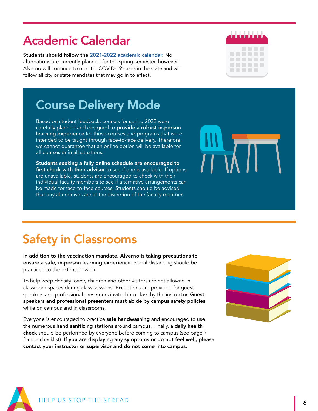# Academic Calendar

Students should follow the [2021-2022 academic calendar](https://www.alverno.edu/files/galleries/20212022AcademicCalendar-0003.pdf). No alternations are currently planned for the spring semester, however Alverno will continue to monitor COVID-19 cases in the state and will follow all city or state mandates that may go in to effect.



# Course Delivery Mode

Based on student feedback, courses for spring 2022 were carefully planned and designed to provide a robust in-person learning experience for those courses and programs that were intended to be taught through face-to-face delivery. Therefore, we cannot guarantee that an online option will be available for all courses or in all situations.

Students seeking a fully online schedule are encouraged to first check with their advisor to see if one is available. If options are unavailable, students are encouraged to check with their individual faculty members to see if alternative arrangements can be made for face-to-face courses. Students should be advised that any alternatives are at the discretion of the faculty member.



# Safety in Classrooms

In addition to the vaccination mandate, Alverno is taking precautions to ensure a safe, in-person learning experience. Social distancing should be practiced to the extent possible.

To help keep density lower, children and other visitors are not allowed in classroom spaces during class sessions. Exceptions are provided for guest speakers and professional presenters invited into class by the instructor. Guest speakers and professional presenters must abide by campus safety policies while on campus and in classrooms.

Everyone is encouraged to practice safe handwashing and encouraged to use the numerous hand sanitizing stations around campus. Finally, a daily health check should be performed by everyone before coming to campus (see page 7 for the checklist). If you are displaying any symptoms or do not feel well, please contact your instructor or supervisor and do not come into campus.



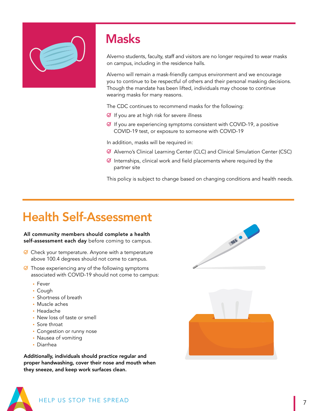

# **Masks**

Alverno students, faculty, staff and visitors are no longer required to wear masks on campus, including in the residence halls.

Alverno will remain a mask-friendly campus environment and we encourage you to continue to be respectful of others and their personal masking decisions. Though the mandate has been lifted, individuals may choose to continue wearing masks for many reasons.

The CDC continues to recommend masks for the following:

- $\Theta$  If you are at high risk for severe illness
- $\heartsuit$  If you are experiencing symptoms consistent with COVID-19, a positive COVID-19 test, or exposure to someone with COVID-19

In addition, masks will be required in:

- Alverno's Clinical Learning Center (CLC) and Clinical Simulation Center (CSC)
- $\Theta$  Internships, clinical work and field placements where required by the partner site

This policy is subject to change based on changing conditions and health needs.

# Health Self-Assessment

#### All community members should complete a health self-assessment each day before coming to campus.

- $\Theta$  Check your temperature. Anyone with a temperature above 100.4 degrees should not come to campus.
- $\Theta$  Those experiencing any of the following symptoms associated with COVID-19 should not come to campus:
	- Fever
	- Cough
	- Shortness of breath
	- Muscle aches
	- Headache
	- New loss of taste or smell
	- Sore throat
	- Congestion or runny nose
	- Nausea of vomiting
	- Diarrhea

Additionally, individuals should practice regular and proper handwashing, cover their nose and mouth when they sneeze, and keep work surfaces clean.





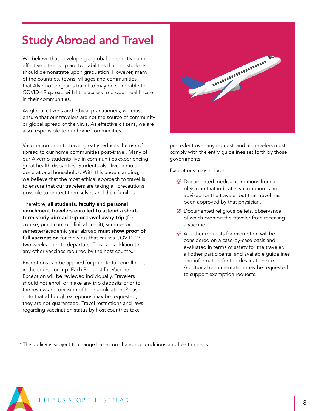# Study Abroad and Travel

We believe that developing a global perspective and effective citizenship are two abilities that our students should demonstrate upon graduation. However, many of the countries, towns, villages and communities that Alverno programs travel to may be vulnerable to COVID-19 spread with little access to proper health care in their communities.

As global citizens and ethical practitioners, we must ensure that our travelers are not the source of community or global spread of the virus. As effective citizens, we are also responsible to our home communities.

Vaccination prior to travel greatly reduces the risk of spread to our home communities post-travel. Many of our Alverno students live in communities experiencing great health disparities. Students also live in multigenerational households. With this understanding, we believe that the most ethical approach to travel is to ensure that our travelers are taking all precautions possible to protect themselves and their families.

Therefore, all students, faculty and personal enrichment travelers enrolled to attend a shortterm study abroad trip or travel away trip (for course, practicum or clinical credit), summer or semester/academic year abroad must show proof of full vaccination for the virus that causes COVID-19 two weeks prior to departure. This is in addition to any other vaccines required by the host country.

Exceptions can be applied for prior to full enrollment in the course or trip. Each Request for Vaccine Exception will be reviewed individually. Travelers should not enroll or make any trip deposits prior to the review and decision of their application. Please note that although exceptions may be requested, they are not guaranteed. Travel restrictions and laws regarding vaccination status by host countries take



precedent over any request, and all travelers must comply with the entry guidelines set forth by those governments.

Exceptions may include:

- $\Theta$  Documented medical conditions from a physician that indicates vaccination is not advised for the traveler but that travel has been approved by that physician.
- Documented religious beliefs, observance of which prohibit the traveler from receiving a vaccine.
- $\emptyset$  All other requests for exemption will be considered on a case-by-case basis and evaluated in terms of safety for the traveler, all other participants, and available guidelines and information for the destination site. Additional documentation may be requested to support exemption requests.

\* This policy is subject to change based on changing conditions and health needs.